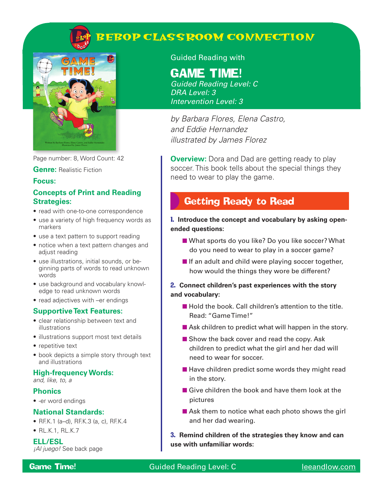

# **BEBOP CLASSROOM CONNECTION**



Page number: 8, Word Count: 42

#### **Genre:** Realistic Fiction

#### **Focus:**

### **Concepts of Print and Reading Strategies:**

- read with one-to-one correspondence
- use a variety of high frequency words as markers
- use a text pattern to support reading
- notice when a text pattern changes and adjust reading
- use illustrations, initial sounds, or beginning parts of words to read unknown words
- use background and vocabulary knowledge to read unknown words
- read adjectives with –er endings

#### **Supportive Text Features:**

- clear relationship between text and illustrations
- illustrations support most text details
- repetitive text
- book depicts a simple story through text and illustrations

#### **High-frequency Words:**

*and, like, to, a*

#### **Phonics**

• -er word endings

#### **National Standards:**

- RF.K.1 (a–d), RF.K.3 (a, c), RF.K.4
- RL.K.1, RL.K.7

#### **ELL/ESL**

*¡Al juego!* See back page

### Guided Reading with

# **GAME TIME!**

*Guided Reading Level: C DRA Level: 3 Intervention Level: 3*

*by Barbara Flores, Elena Castro, and Eddie Hernandez illustrated by James Florez*

**Overview:** Dora and Dad are getting ready to play soccer. This book tells about the special things they need to wear to play the game.

## Getting Ready to Read

### 1. **Introduce the concept and vocabulary by asking openended questions:**

- What sports do you like? Do you like soccer? What do you need to wear to play in a soccer game?
- $\blacksquare$  If an adult and child were playing soccer together, how would the things they wore be different?

### 2. **Connect children's past experiences with the story and vocabulary:**

- Hold the book. Call children's attention to the title. Read: "Game Time!"
- Ask children to predict what will happen in the story.
- Show the back cover and read the copy. Ask children to predict what the girl and her dad will need to wear for soccer.
- Have children predict some words they might read in the story.
- Give children the book and have them look at the pictures
- Ask them to notice what each photo shows the girl and her dad wearing.

3. **Remind children of the strategies they know and can use with unfamiliar words:**

### Game Time! Guided Reading Level: C leeandlow.com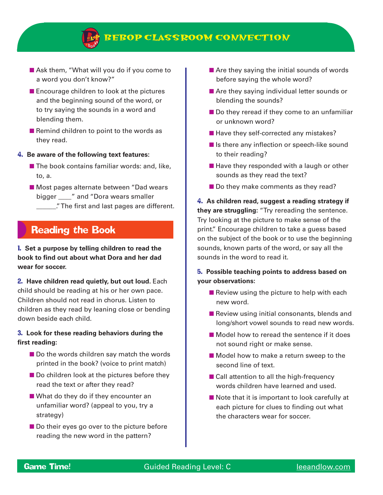

## **BEBOP CLASSROOM CONNECTION**

- Ask them, "What will you do if you come to a word you don't know?"
- Encourage children to look at the pictures and the beginning sound of the word, or to try saying the sounds in a word and blending them.
- Remind children to point to the words as they read.
- 4. **Be aware of the following text features:**
	- The book contains familiar words: and, like, to, a.
	- Most pages alternate between "Dad wears bigger  $\blacksquare$  and "Dora wears smaller \_\_\_\_\_\_." The first and last pages are different.

## Reading the Book

1. **Set a purpose by telling children to read the book to find out about what Dora and her dad wear for soccer.**

2. **Have children read quietly, but out loud.** Each child should be reading at his or her own pace. Children should not read in chorus. Listen to children as they read by leaning close or bending down beside each child.

#### 3. **Look for these reading behaviors during the first reading:**

- Do the words children say match the words printed in the book? (voice to print match)
- Do children look at the pictures before they read the text or after they read?
- What do they do if they encounter an unfamiliar word? (appeal to you, try a strategy)
- Do their eyes go over to the picture before reading the new word in the pattern?
- Are they saying the initial sounds of words before saying the whole word?
- Are they saying individual letter sounds or blending the sounds?
- Do they reread if they come to an unfamiliar or unknown word?
- Have they self-corrected any mistakes?
- Is there any inflection or speech-like sound to their reading?
- Have they responded with a laugh or other sounds as they read the text?
- Do they make comments as they read?

4. **As children read, suggest a reading strategy if they are struggling:** "Try rereading the sentence. Try looking at the picture to make sense of the print." Encourage children to take a guess based on the subject of the book or to use the beginning sounds, known parts of the word, or say all the sounds in the word to read it.

### 5. **Possible teaching points to address based on your observations:**

- $\blacksquare$  Review using the picture to help with each new word.
- Review using initial consonants, blends and long/short vowel sounds to read new words.
- Model how to reread the sentence if it does not sound right or make sense.
- Model how to make a return sweep to the second line of text.
- Call attention to all the high-frequency words children have learned and used.
- Note that it is important to look carefully at each picture for clues to finding out what the characters wear for soccer.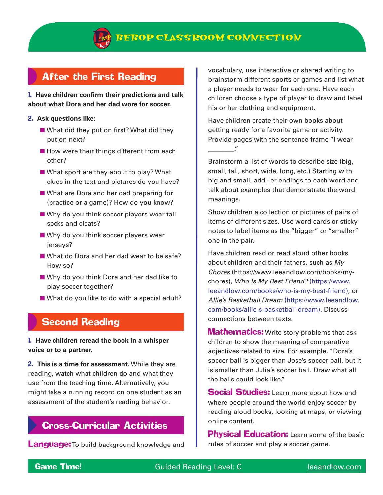

## After the First Reading

1. **Have children confirm their predictions and talk about what Dora and her dad wore for soccer.**

- 2. **Ask questions like:**
	- What did they put on first? What did they put on next?
	- How were their things different from each other?
	- What sport are they about to play? What clues in the text and pictures do you have?
	- What are Dora and her dad preparing for (practice or a game)? How do you know?
	- Why do you think soccer players wear tall socks and cleats?
	- Why do you think soccer players wear jerseys?
	- What do Dora and her dad wear to be safe? How so?
	- Why do you think Dora and her dad like to play soccer together?
	- What do you like to do with a special adult?

# Second Reading

1. **Have children reread the book in a whisper voice or to a partner.**

2. **This is a time for assessment.** While they are reading, watch what children do and what they use from the teaching time. Alternatively, you might take a running record on one student as an assessment of the student's reading behavior.

### Cross-Curricular Activities

**Language:** To build background knowledge and

vocabulary, use interactive or shared writing to brainstorm different sports or games and list what a player needs to wear for each one. Have each children choose a type of player to draw and label his or her clothing and equipment.

Have children create their own books about getting ready for a favorite game or activity. Provide pages with the sentence frame "I wear \_\_\_\_\_\_\_\_."

Brainstorm a list of words to describe size (big, small, tall, short, wide, long, etc.) Starting with big and small, add –er endings to each word and talk about examples that demonstrate the word meanings.

Show children a collection or pictures of pairs of items of different sizes. Use word cards or sticky notes to label items as the "bigger" or "smaller" one in the pair.

Have children read or read aloud other books about children and their fathers, such as *My Chores* (https://www.leeandlow.com/books/mychores), *Who Is My Best Friend?* (https://www. leeandlow.com/books/who-is-my-best-friend), or *Allie's Basketball Dream* (https://www.leeandlow. com/books/allie-s-basketball-dream). Discuss connections between texts.

**Mathematics:** Write story problems that ask children to show the meaning of comparative adjectives related to size. For example, "Dora's soccer ball is bigger than Jose's soccer ball, but it is smaller than Julia's soccer ball. Draw what all the balls could look like."

**Social Studies:** Learn more about how and where people around the world enjoy soccer by reading aloud books, looking at maps, or viewing online content.

**Physical Education:** Learn some of the basic rules of soccer and play a soccer game.